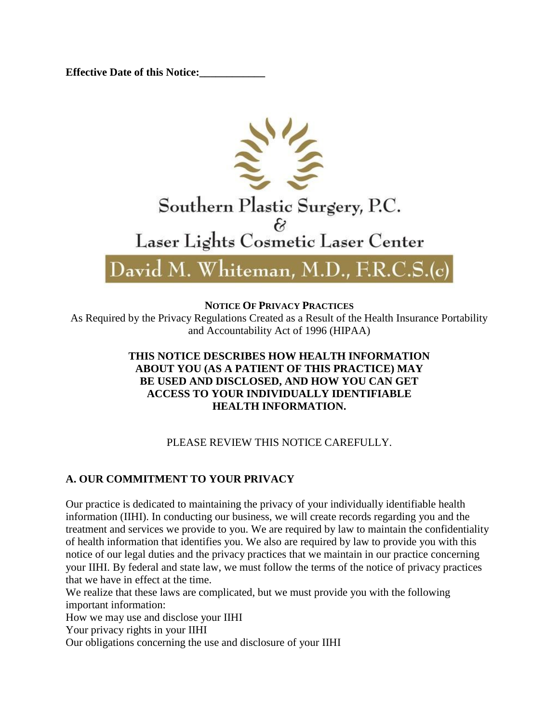**Effective Date of this Notice:** 



**NOTICE OF PRIVACY PRACTICES**

As Required by the Privacy Regulations Created as a Result of the Health Insurance Portability and Accountability Act of 1996 (HIPAA)

### **THIS NOTICE DESCRIBES HOW HEALTH INFORMATION ABOUT YOU (AS A PATIENT OF THIS PRACTICE) MAY BE USED AND DISCLOSED, AND HOW YOU CAN GET ACCESS TO YOUR INDIVIDUALLY IDENTIFIABLE HEALTH INFORMATION.**

# PLEASE REVIEW THIS NOTICE CAREFULLY.

# **A. OUR COMMITMENT TO YOUR PRIVACY**

Our practice is dedicated to maintaining the privacy of your individually identifiable health information (IIHI). In conducting our business, we will create records regarding you and the treatment and services we provide to you. We are required by law to maintain the confidentiality of health information that identifies you. We also are required by law to provide you with this notice of our legal duties and the privacy practices that we maintain in our practice concerning your IIHI. By federal and state law, we must follow the terms of the notice of privacy practices that we have in effect at the time.

We realize that these laws are complicated, but we must provide you with the following important information:

How we may use and disclose your IIHI

Your privacy rights in your IIHI

Our obligations concerning the use and disclosure of your IIHI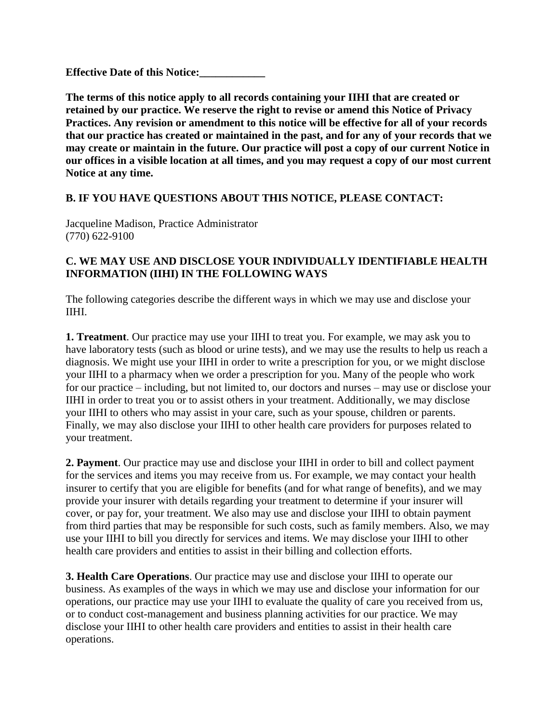**Effective Date of this Notice:** 

**The terms of this notice apply to all records containing your IIHI that are created or retained by our practice. We reserve the right to revise or amend this Notice of Privacy Practices. Any revision or amendment to this notice will be effective for all of your records that our practice has created or maintained in the past, and for any of your records that we may create or maintain in the future. Our practice will post a copy of our current Notice in our offices in a visible location at all times, and you may request a copy of our most current Notice at any time.**

## **B. IF YOU HAVE QUESTIONS ABOUT THIS NOTICE, PLEASE CONTACT:**

Jacqueline Madison, Practice Administrator (770) 622-9100

### **C. WE MAY USE AND DISCLOSE YOUR INDIVIDUALLY IDENTIFIABLE HEALTH INFORMATION (IIHI) IN THE FOLLOWING WAYS**

The following categories describe the different ways in which we may use and disclose your IIHI.

**1. Treatment**. Our practice may use your IIHI to treat you. For example, we may ask you to have laboratory tests (such as blood or urine tests), and we may use the results to help us reach a diagnosis. We might use your IIHI in order to write a prescription for you, or we might disclose your IIHI to a pharmacy when we order a prescription for you. Many of the people who work for our practice – including, but not limited to, our doctors and nurses – may use or disclose your IIHI in order to treat you or to assist others in your treatment. Additionally, we may disclose your IIHI to others who may assist in your care, such as your spouse, children or parents. Finally, we may also disclose your IIHI to other health care providers for purposes related to your treatment.

**2. Payment**. Our practice may use and disclose your IIHI in order to bill and collect payment for the services and items you may receive from us. For example, we may contact your health insurer to certify that you are eligible for benefits (and for what range of benefits), and we may provide your insurer with details regarding your treatment to determine if your insurer will cover, or pay for, your treatment. We also may use and disclose your IIHI to obtain payment from third parties that may be responsible for such costs, such as family members. Also, we may use your IIHI to bill you directly for services and items. We may disclose your IIHI to other health care providers and entities to assist in their billing and collection efforts.

**3. Health Care Operations**. Our practice may use and disclose your IIHI to operate our business. As examples of the ways in which we may use and disclose your information for our operations, our practice may use your IIHI to evaluate the quality of care you received from us, or to conduct cost-management and business planning activities for our practice. We may disclose your IIHI to other health care providers and entities to assist in their health care operations.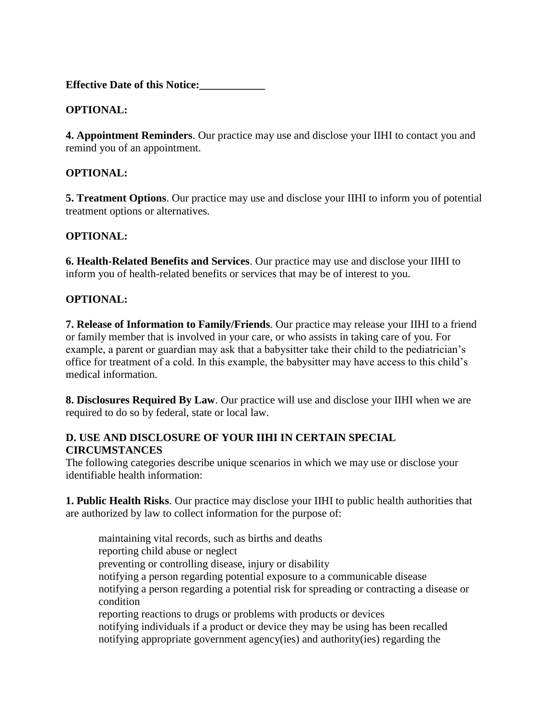## **OPTIONAL:**

**4. Appointment Reminders**. Our practice may use and disclose your IIHI to contact you and remind you of an appointment.

### **OPTIONAL:**

**5. Treatment Options**. Our practice may use and disclose your IIHI to inform you of potential treatment options or alternatives.

### **OPTIONAL:**

**6. Health-Related Benefits and Services**. Our practice may use and disclose your IIHI to inform you of health-related benefits or services that may be of interest to you.

### **OPTIONAL:**

**7. Release of Information to Family/Friends**. Our practice may release your IIHI to a friend or family member that is involved in your care, or who assists in taking care of you. For example, a parent or guardian may ask that a babysitter take their child to the pediatrician's office for treatment of a cold. In this example, the babysitter may have access to this child's medical information.

**8. Disclosures Required By Law**. Our practice will use and disclose your IIHI when we are required to do so by federal, state or local law.

### **D. USE AND DISCLOSURE OF YOUR IIHI IN CERTAIN SPECIAL CIRCUMSTANCES**

The following categories describe unique scenarios in which we may use or disclose your identifiable health information:

**1. Public Health Risks**. Our practice may disclose your IIHI to public health authorities that are authorized by law to collect information for the purpose of:

maintaining vital records, such as births and deaths reporting child abuse or neglect preventing or controlling disease, injury or disability notifying a person regarding potential exposure to a communicable disease notifying a person regarding a potential risk for spreading or contracting a disease or condition reporting reactions to drugs or problems with products or devices notifying individuals if a product or device they may be using has been recalled notifying appropriate government agency(ies) and authority(ies) regarding the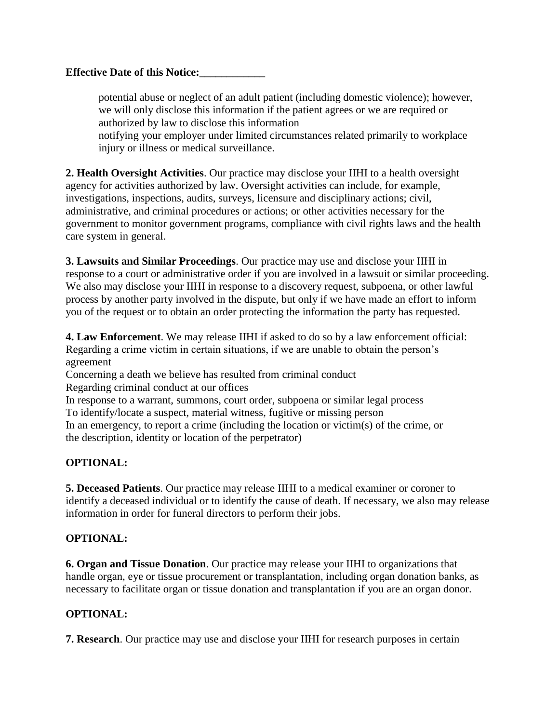potential abuse or neglect of an adult patient (including domestic violence); however, we will only disclose this information if the patient agrees or we are required or authorized by law to disclose this information notifying your employer under limited circumstances related primarily to workplace injury or illness or medical surveillance.

**2. Health Oversight Activities**. Our practice may disclose your IIHI to a health oversight agency for activities authorized by law. Oversight activities can include, for example, investigations, inspections, audits, surveys, licensure and disciplinary actions; civil, administrative, and criminal procedures or actions; or other activities necessary for the government to monitor government programs, compliance with civil rights laws and the health care system in general.

**3. Lawsuits and Similar Proceedings**. Our practice may use and disclose your IIHI in response to a court or administrative order if you are involved in a lawsuit or similar proceeding. We also may disclose your IIHI in response to a discovery request, subpoena, or other lawful process by another party involved in the dispute, but only if we have made an effort to inform you of the request or to obtain an order protecting the information the party has requested.

**4. Law Enforcement**. We may release IIHI if asked to do so by a law enforcement official: Regarding a crime victim in certain situations, if we are unable to obtain the person's agreement

Concerning a death we believe has resulted from criminal conduct Regarding criminal conduct at our offices

In response to a warrant, summons, court order, subpoena or similar legal process To identify/locate a suspect, material witness, fugitive or missing person In an emergency, to report a crime (including the location or victim(s) of the crime, or the description, identity or location of the perpetrator)

### **OPTIONAL:**

**5. Deceased Patients**. Our practice may release IIHI to a medical examiner or coroner to identify a deceased individual or to identify the cause of death. If necessary, we also may release information in order for funeral directors to perform their jobs.

### **OPTIONAL:**

**6. Organ and Tissue Donation**. Our practice may release your IIHI to organizations that handle organ, eye or tissue procurement or transplantation, including organ donation banks, as necessary to facilitate organ or tissue donation and transplantation if you are an organ donor.

### **OPTIONAL:**

**7. Research**. Our practice may use and disclose your IIHI for research purposes in certain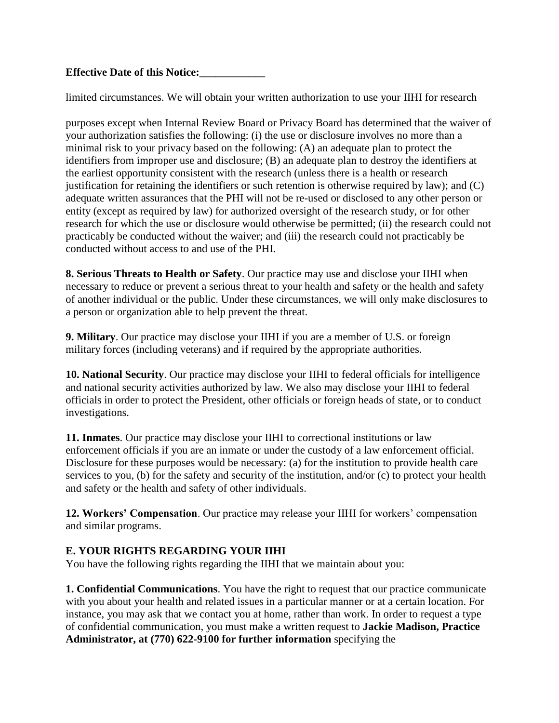limited circumstances. We will obtain your written authorization to use your IIHI for research

purposes except when Internal Review Board or Privacy Board has determined that the waiver of your authorization satisfies the following: (i) the use or disclosure involves no more than a minimal risk to your privacy based on the following: (A) an adequate plan to protect the identifiers from improper use and disclosure; (B) an adequate plan to destroy the identifiers at the earliest opportunity consistent with the research (unless there is a health or research justification for retaining the identifiers or such retention is otherwise required by law); and (C) adequate written assurances that the PHI will not be re-used or disclosed to any other person or entity (except as required by law) for authorized oversight of the research study, or for other research for which the use or disclosure would otherwise be permitted; (ii) the research could not practicably be conducted without the waiver; and (iii) the research could not practicably be conducted without access to and use of the PHI.

**8. Serious Threats to Health or Safety**. Our practice may use and disclose your IIHI when necessary to reduce or prevent a serious threat to your health and safety or the health and safety of another individual or the public. Under these circumstances, we will only make disclosures to a person or organization able to help prevent the threat.

**9. Military**. Our practice may disclose your IIHI if you are a member of U.S. or foreign military forces (including veterans) and if required by the appropriate authorities.

**10. National Security**. Our practice may disclose your IIHI to federal officials for intelligence and national security activities authorized by law. We also may disclose your IIHI to federal officials in order to protect the President, other officials or foreign heads of state, or to conduct investigations.

**11. Inmates**. Our practice may disclose your IIHI to correctional institutions or law enforcement officials if you are an inmate or under the custody of a law enforcement official. Disclosure for these purposes would be necessary: (a) for the institution to provide health care services to you, (b) for the safety and security of the institution, and/or (c) to protect your health and safety or the health and safety of other individuals.

**12. Workers' Compensation**. Our practice may release your IIHI for workers' compensation and similar programs.

### **E. YOUR RIGHTS REGARDING YOUR IIHI**

You have the following rights regarding the IIHI that we maintain about you:

**1. Confidential Communications**. You have the right to request that our practice communicate with you about your health and related issues in a particular manner or at a certain location. For instance, you may ask that we contact you at home, rather than work. In order to request a type of confidential communication, you must make a written request to **Jackie Madison, Practice Administrator, at (770) 622-9100 for further information** specifying the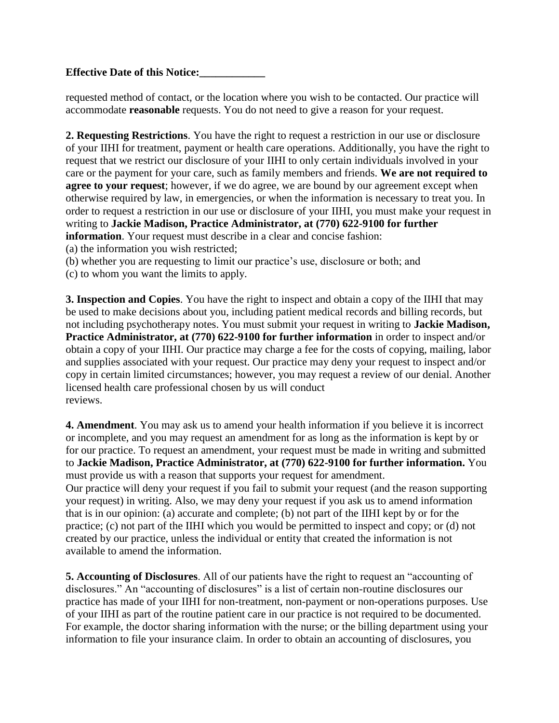requested method of contact, or the location where you wish to be contacted. Our practice will accommodate **reasonable** requests. You do not need to give a reason for your request.

**2. Requesting Restrictions**. You have the right to request a restriction in our use or disclosure of your IIHI for treatment, payment or health care operations. Additionally, you have the right to request that we restrict our disclosure of your IIHI to only certain individuals involved in your care or the payment for your care, such as family members and friends. **We are not required to agree to your request**; however, if we do agree, we are bound by our agreement except when otherwise required by law, in emergencies, or when the information is necessary to treat you. In order to request a restriction in our use or disclosure of your IIHI, you must make your request in writing to **Jackie Madison, Practice Administrator, at (770) 622-9100 for further information**. Your request must describe in a clear and concise fashion:

(a) the information you wish restricted;

(b) whether you are requesting to limit our practice's use, disclosure or both; and

(c) to whom you want the limits to apply.

**3. Inspection and Copies**. You have the right to inspect and obtain a copy of the IIHI that may be used to make decisions about you, including patient medical records and billing records, but not including psychotherapy notes. You must submit your request in writing to **Jackie Madison, Practice Administrator, at (770) 622-9100 for further information** in order to inspect and/or obtain a copy of your IIHI. Our practice may charge a fee for the costs of copying, mailing, labor and supplies associated with your request. Our practice may deny your request to inspect and/or copy in certain limited circumstances; however, you may request a review of our denial. Another licensed health care professional chosen by us will conduct reviews.

**4. Amendment**. You may ask us to amend your health information if you believe it is incorrect or incomplete, and you may request an amendment for as long as the information is kept by or for our practice. To request an amendment, your request must be made in writing and submitted to **Jackie Madison, Practice Administrator, at (770) 622-9100 for further information.** You must provide us with a reason that supports your request for amendment.

Our practice will deny your request if you fail to submit your request (and the reason supporting your request) in writing. Also, we may deny your request if you ask us to amend information that is in our opinion: (a) accurate and complete; (b) not part of the IIHI kept by or for the practice; (c) not part of the IIHI which you would be permitted to inspect and copy; or (d) not created by our practice, unless the individual or entity that created the information is not available to amend the information.

**5. Accounting of Disclosures**. All of our patients have the right to request an "accounting of disclosures." An "accounting of disclosures" is a list of certain non-routine disclosures our practice has made of your IIHI for non-treatment, non-payment or non-operations purposes. Use of your IIHI as part of the routine patient care in our practice is not required to be documented. For example, the doctor sharing information with the nurse; or the billing department using your information to file your insurance claim. In order to obtain an accounting of disclosures, you